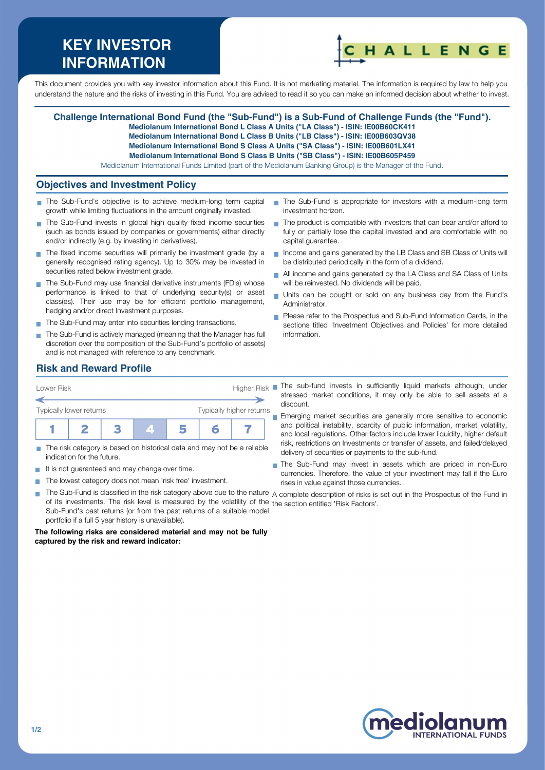# **KEY INVESTOR INFORMATION**



This document provides you with key investor information about this Fund. It is not marketing material. The information is required by law to help you understand the nature and the risks of investing in this Fund. You are advised to read it so you can make an informed decision about whether to invest.

#### **Challenge International Bond Fund (the "Sub-Fund") is a Sub-Fund of Challenge Funds (the "Fund"). Mediolanum International Bond L Class A Units ("LA Class") - ISIN: IE00B60CK411 Mediolanum International Bond L Class B Units ("LB Class") - ISIN: IE00B603QV38**

**Mediolanum International Bond S Class A Units ("SA Class") - ISIN: IE00B601LX41**

**Mediolanum International Bond S Class B Units ("SB Class") - ISIN: IE00B605P459**

Mediolanum International Funds Limited (part of the Mediolanum Banking Group) is the Manager of the Fund.

### **Objectives and Investment Policy**

- The Sub-Fund's objective is to achieve medium-long term capital growth while limiting fluctuations in the amount originally invested.
- The Sub-Fund invests in global high quality fixed income securities (such as bonds issued by companies or governments) either directly and/or indirectly (e.g. by investing in derivatives).
- The fixed income securities will primarily be investment grade (by a generally recognised rating agency). Up to 30% may be invested in securities rated below investment grade.
- The Sub-Fund may use financial derivative instruments (FDIs) whose performance is linked to that of underlying security(s) or asset class(es). Their use may be for efficient portfolio management, hedging and/or direct Investment purposes.
- The Sub-Fund may enter into securities lending transactions.
- The Sub-Fund is actively managed (meaning that the Manager has full discretion over the composition of the Sub-Fund's portfolio of assets) and is not managed with reference to any benchmark.
- The Sub-Fund is appropriate for investors with a medium-long term investment horizon.
- $\blacksquare$  The product is compatible with investors that can bear and/or afford to fully or partially lose the capital invested and are comfortable with no capital guarantee.
- Income and gains generated by the LB Class and SB Class of Units will be distributed periodically in the form of a dividend.
- All income and gains generated by the LA Class and SA Class of Units will be reinvested. No dividends will be paid.
- Units can be bought or sold on any business day from the Fund's Administrator.
- Please refer to the Prospectus and Sub-Fund Information Cards, in the sections titled 'Investment Objectives and Policies' for more detailed information.

# **Risk and Reward Profile**



- The risk category is based on historical data and may not be a reliable m. indication for the future.
- It is not guaranteed and may change over time.
- The lowest category does not mean 'risk free' investment.  $\sim$
- stressed market conditions, it may only be able to sell assets at a discount. Emerging market securities are generally more sensitive to economic
- and political instability, scarcity of public information, market volatility, and local regulations. Other factors include lower liquidity, higher default risk, restrictions on Investments or transfer of assets, and failed/delayed delivery of securities or payments to the sub-fund.
- The Sub-Fund may invest in assets which are priced in non-Euro currencies. Therefore, the value of your investment may fall if the Euro rises in value against those currencies.
- × The Sub-Fund is classified in the risk category above due to the nature A complete description of risks is set out in the Prospectus of the Fund in of its investments. The risk level is measured by the volatility of the the section entitled 'Risk Factors'.Sub-Fund's past returns (or from the past returns of a suitable model portfolio if a full 5 year history is unavailable).

**The following risks are considered material and may not be fully captured by the risk and reward indicator:**

**INTERNATIONAL FUNDS**